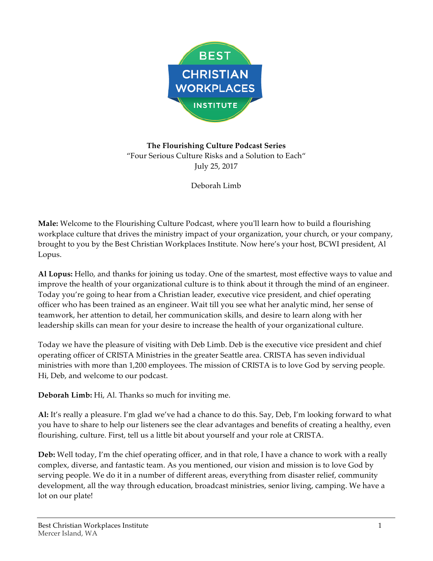

**The Flourishing Culture Podcast Series** "Four Serious Culture Risks and a Solution to Each" July 25, 2017

Deborah Limb

**Male:** Welcome to the Flourishing Culture Podcast, where you'll learn how to build a flourishing workplace culture that drives the ministry impact of your organization, your church, or your company, brought to you by the Best Christian Workplaces Institute. Now here's your host, BCWI president, Al Lopus.

**Al Lopus:** Hello, and thanks for joining us today. One of the smartest, most effective ways to value and improve the health of your organizational culture is to think about it through the mind of an engineer. Today you're going to hear from a Christian leader, executive vice president, and chief operating officer who has been trained as an engineer. Wait till you see what her analytic mind, her sense of teamwork, her attention to detail, her communication skills, and desire to learn along with her leadership skills can mean for your desire to increase the health of your organizational culture.

Today we have the pleasure of visiting with Deb Limb. Deb is the executive vice president and chief operating officer of CRISTA Ministries in the greater Seattle area. CRISTA has seven individual ministries with more than 1,200 employees. The mission of CRISTA is to love God by serving people. Hi, Deb, and welcome to our podcast.

**Deborah Limb:** Hi, Al. Thanks so much for inviting me.

**Al:** It's really a pleasure. I'm glad we've had a chance to do this. Say, Deb, I'm looking forward to what you have to share to help our listeners see the clear advantages and benefits of creating a healthy, even flourishing, culture. First, tell us a little bit about yourself and your role at CRISTA.

**Deb:** Well today, I'm the chief operating officer, and in that role, I have a chance to work with a really complex, diverse, and fantastic team. As you mentioned, our vision and mission is to love God by serving people. We do it in a number of different areas, everything from disaster relief, community development, all the way through education, broadcast ministries, senior living, camping. We have a lot on our plate!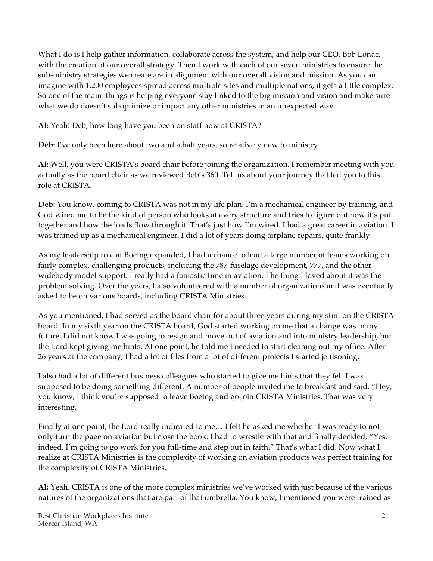What I do is I help gather information, collaborate across the system, and help our CEO, Bob Lonac, with the creation of our overall strategy. Then I work with each of our seven ministries to ensure the sub-ministry strategies we create are in alignment with our overall vision and mission. As you can imagine with 1,200 employees spread across multiple sites and multiple nations, it gets a little complex. So one of the main things is helping everyone stay linked to the big mission and vision and make sure what we do doesn't suboptimize or impact any other ministries in an unexpected way.

**Al:** Yeah! Deb, how long have you been on staff now at CRISTA?

**Deb:** I've only been here about two and a half years, so relatively new to ministry.

**Al:** Well, you were CRISTA's board chair before joining the organization. I remember meeting with you actually as the board chair as we reviewed Bob's 360. Tell us about your journey that led you to this role at CRISTA.

**Deb:** You know, coming to CRISTA was not in my life plan. I'm a mechanical engineer by training, and God wired me to be the kind of person who looks at every structure and tries to figure out how it's put together and how the loads flow through it. That's just how I'm wired. I had a great career in aviation. I was trained up as a mechanical engineer. I did a lot of years doing airplane repairs, quite frankly.

As my leadership role at Boeing expanded, I had a chance to lead a large number of teams working on fairly complex, challenging products, including the 787-fuselage development, 777, and the other widebody model support. I really had a fantastic time in aviation. The thing I loved about it was the problem solving. Over the years, I also volunteered with a number of organizations and was eventually asked to be on various boards, including CRISTA Ministries.

As you mentioned, I had served as the board chair for about three years during my stint on the CRISTA board. In my sixth year on the CRISTA board, God started working on me that a change was in my future. I did not know I was going to resign and move out of aviation and into ministry leadership, but the Lord kept giving me hints. At one point, he told me I needed to start cleaning out my office. After 26 years at the company, I had a lot of files from a lot of different projects I started jettisoning.

I also had a lot of different business colleagues who started to give me hints that they felt I was supposed to be doing something different. A number of people invited me to breakfast and said, "Hey, you know, I think you're supposed to leave Boeing and go join CRISTA Ministries. That was very interesting.

Finally at one point, the Lord really indicated to me… I felt he asked me whether I was ready to not only turn the page on aviation but close the book. I had to wrestle with that and finally decided, "Yes, indeed. I'm going to go work for you full-time and step out in faith." That's what I did. Now what I realize at CRISTA Ministries is the complexity of working on aviation products was perfect training for the complexity of CRISTA Ministries.

**Al:** Yeah, CRISTA is one of the more complex ministries we've worked with just because of the various natures of the organizations that are part of that umbrella. You know, I mentioned you were trained as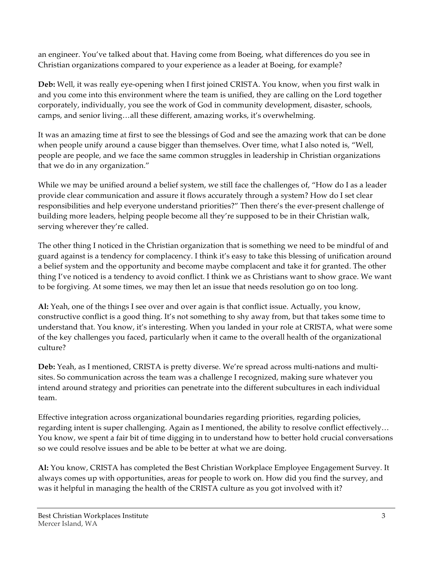an engineer. You've talked about that. Having come from Boeing, what differences do you see in Christian organizations compared to your experience as a leader at Boeing, for example?

**Deb:** Well, it was really eye-opening when I first joined CRISTA. You know, when you first walk in and you come into this environment where the team is unified, they are calling on the Lord together corporately, individually, you see the work of God in community development, disaster, schools, camps, and senior living…all these different, amazing works, it's overwhelming.

It was an amazing time at first to see the blessings of God and see the amazing work that can be done when people unify around a cause bigger than themselves. Over time, what I also noted is, "Well, people are people, and we face the same common struggles in leadership in Christian organizations that we do in any organization."

While we may be unified around a belief system, we still face the challenges of, "How do I as a leader provide clear communication and assure it flows accurately through a system? How do I set clear responsibilities and help everyone understand priorities?" Then there's the ever-present challenge of building more leaders, helping people become all they're supposed to be in their Christian walk, serving wherever they're called.

The other thing I noticed in the Christian organization that is something we need to be mindful of and guard against is a tendency for complacency. I think it's easy to take this blessing of unification around a belief system and the opportunity and become maybe complacent and take it for granted. The other thing I've noticed is a tendency to avoid conflict. I think we as Christians want to show grace. We want to be forgiving. At some times, we may then let an issue that needs resolution go on too long.

**Al:** Yeah, one of the things I see over and over again is that conflict issue. Actually, you know, constructive conflict is a good thing. It's not something to shy away from, but that takes some time to understand that. You know, it's interesting. When you landed in your role at CRISTA, what were some of the key challenges you faced, particularly when it came to the overall health of the organizational culture?

**Deb:** Yeah, as I mentioned, CRISTA is pretty diverse. We're spread across multi-nations and multisites. So communication across the team was a challenge I recognized, making sure whatever you intend around strategy and priorities can penetrate into the different subcultures in each individual team.

Effective integration across organizational boundaries regarding priorities, regarding policies, regarding intent is super challenging. Again as I mentioned, the ability to resolve conflict effectively… You know, we spent a fair bit of time digging in to understand how to better hold crucial conversations so we could resolve issues and be able to be better at what we are doing.

**Al:** You know, CRISTA has completed the Best Christian Workplace Employee Engagement Survey. It always comes up with opportunities, areas for people to work on. How did you find the survey, and was it helpful in managing the health of the CRISTA culture as you got involved with it?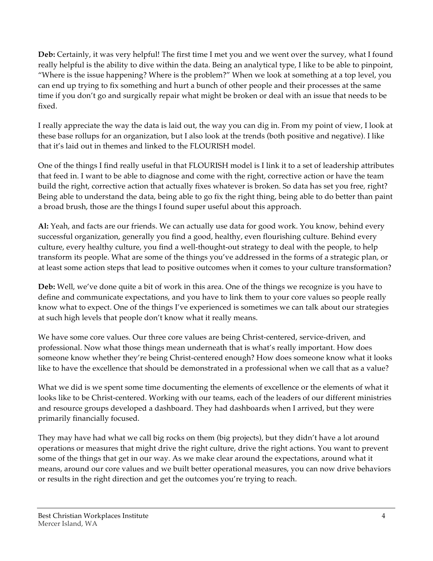**Deb:** Certainly, it was very helpful! The first time I met you and we went over the survey, what I found really helpful is the ability to dive within the data. Being an analytical type, I like to be able to pinpoint, "Where is the issue happening? Where is the problem?" When we look at something at a top level, you can end up trying to fix something and hurt a bunch of other people and their processes at the same time if you don't go and surgically repair what might be broken or deal with an issue that needs to be fixed.

I really appreciate the way the data is laid out, the way you can dig in. From my point of view, I look at these base rollups for an organization, but I also look at the trends (both positive and negative). I like that it's laid out in themes and linked to the FLOURISH model.

One of the things I find really useful in that FLOURISH model is I link it to a set of leadership attributes that feed in. I want to be able to diagnose and come with the right, corrective action or have the team build the right, corrective action that actually fixes whatever is broken. So data has set you free, right? Being able to understand the data, being able to go fix the right thing, being able to do better than paint a broad brush, those are the things I found super useful about this approach.

**Al:** Yeah, and facts are our friends. We can actually use data for good work. You know, behind every successful organization, generally you find a good, healthy, even flourishing culture. Behind every culture, every healthy culture, you find a well-thought-out strategy to deal with the people, to help transform its people. What are some of the things you've addressed in the forms of a strategic plan, or at least some action steps that lead to positive outcomes when it comes to your culture transformation?

**Deb:** Well, we've done quite a bit of work in this area. One of the things we recognize is you have to define and communicate expectations, and you have to link them to your core values so people really know what to expect. One of the things I've experienced is sometimes we can talk about our strategies at such high levels that people don't know what it really means.

We have some core values. Our three core values are being Christ-centered, service-driven, and professional. Now what those things mean underneath that is what's really important. How does someone know whether they're being Christ-centered enough? How does someone know what it looks like to have the excellence that should be demonstrated in a professional when we call that as a value?

What we did is we spent some time documenting the elements of excellence or the elements of what it looks like to be Christ-centered. Working with our teams, each of the leaders of our different ministries and resource groups developed a dashboard. They had dashboards when I arrived, but they were primarily financially focused.

They may have had what we call big rocks on them (big projects), but they didn't have a lot around operations or measures that might drive the right culture, drive the right actions. You want to prevent some of the things that get in our way. As we make clear around the expectations, around what it means, around our core values and we built better operational measures, you can now drive behaviors or results in the right direction and get the outcomes you're trying to reach.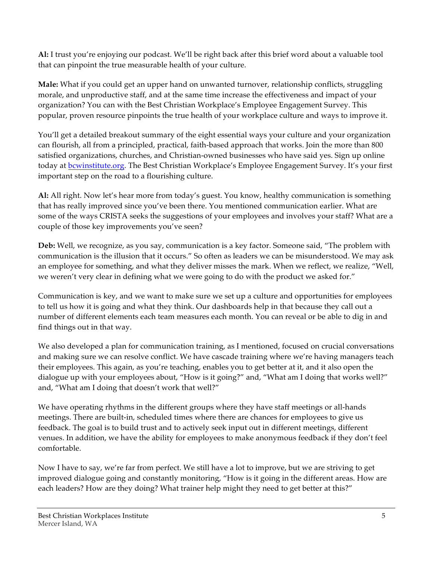**Al:** I trust you're enjoying our podcast. We'll be right back after this brief word about a valuable tool that can pinpoint the true measurable health of your culture.

**Male:** What if you could get an upper hand on unwanted turnover, relationship conflicts, struggling morale, and unproductive staff, and at the same time increase the effectiveness and impact of your organization? You can with the Best Christian Workplace's Employee Engagement Survey. This popular, proven resource pinpoints the true health of your workplace culture and ways to improve it.

You'll get a detailed breakout summary of the eight essential ways your culture and your organization can flourish, all from a principled, practical, faith-based approach that works. Join the more than 800 satisfied organizations, churches, and Christian-owned businesses who have said yes. Sign up online today at bcwinstitute.org. The Best Christian Workplace's Employee Engagement Survey. It's your first important step on the road to a flourishing culture.

**Al:** All right. Now let's hear more from today's guest. You know, healthy communication is something that has really improved since you've been there. You mentioned communication earlier. What are some of the ways CRISTA seeks the suggestions of your employees and involves your staff? What are a couple of those key improvements you've seen?

**Deb:** Well, we recognize, as you say, communication is a key factor. Someone said, "The problem with communication is the illusion that it occurs." So often as leaders we can be misunderstood. We may ask an employee for something, and what they deliver misses the mark. When we reflect, we realize, "Well, we weren't very clear in defining what we were going to do with the product we asked for."

Communication is key, and we want to make sure we set up a culture and opportunities for employees to tell us how it is going and what they think. Our dashboards help in that because they call out a number of different elements each team measures each month. You can reveal or be able to dig in and find things out in that way.

We also developed a plan for communication training, as I mentioned, focused on crucial conversations and making sure we can resolve conflict. We have cascade training where we're having managers teach their employees. This again, as you're teaching, enables you to get better at it, and it also open the dialogue up with your employees about, "How is it going?" and, "What am I doing that works well?" and, "What am I doing that doesn't work that well?"

We have operating rhythms in the different groups where they have staff meetings or all-hands meetings. There are built-in, scheduled times where there are chances for employees to give us feedback. The goal is to build trust and to actively seek input out in different meetings, different venues. In addition, we have the ability for employees to make anonymous feedback if they don't feel comfortable.

Now I have to say, we're far from perfect. We still have a lot to improve, but we are striving to get improved dialogue going and constantly monitoring, "How is it going in the different areas. How are each leaders? How are they doing? What trainer help might they need to get better at this?"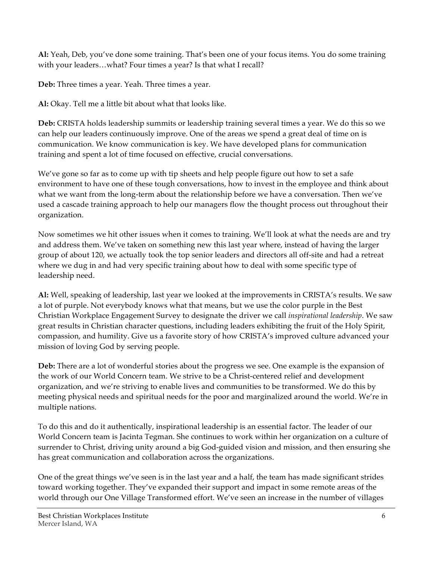**Al:** Yeah, Deb, you've done some training. That's been one of your focus items. You do some training with your leaders…what? Four times a year? Is that what I recall?

**Deb:** Three times a year. Yeah. Three times a year.

**Al:** Okay. Tell me a little bit about what that looks like.

**Deb:** CRISTA holds leadership summits or leadership training several times a year. We do this so we can help our leaders continuously improve. One of the areas we spend a great deal of time on is communication. We know communication is key. We have developed plans for communication training and spent a lot of time focused on effective, crucial conversations.

We've gone so far as to come up with tip sheets and help people figure out how to set a safe environment to have one of these tough conversations, how to invest in the employee and think about what we want from the long-term about the relationship before we have a conversation. Then we've used a cascade training approach to help our managers flow the thought process out throughout their organization.

Now sometimes we hit other issues when it comes to training. We'll look at what the needs are and try and address them. We've taken on something new this last year where, instead of having the larger group of about 120, we actually took the top senior leaders and directors all off-site and had a retreat where we dug in and had very specific training about how to deal with some specific type of leadership need.

**Al:** Well, speaking of leadership, last year we looked at the improvements in CRISTA's results. We saw a lot of purple. Not everybody knows what that means, but we use the color purple in the Best Christian Workplace Engagement Survey to designate the driver we call *inspirational leadership*. We saw great results in Christian character questions, including leaders exhibiting the fruit of the Holy Spirit, compassion, and humility. Give us a favorite story of how CRISTA's improved culture advanced your mission of loving God by serving people.

**Deb:** There are a lot of wonderful stories about the progress we see. One example is the expansion of the work of our World Concern team. We strive to be a Christ-centered relief and development organization, and we're striving to enable lives and communities to be transformed. We do this by meeting physical needs and spiritual needs for the poor and marginalized around the world. We're in multiple nations.

To do this and do it authentically, inspirational leadership is an essential factor. The leader of our World Concern team is Jacinta Tegman. She continues to work within her organization on a culture of surrender to Christ, driving unity around a big God-guided vision and mission, and then ensuring she has great communication and collaboration across the organizations.

One of the great things we've seen is in the last year and a half, the team has made significant strides toward working together. They've expanded their support and impact in some remote areas of the world through our One Village Transformed effort. We've seen an increase in the number of villages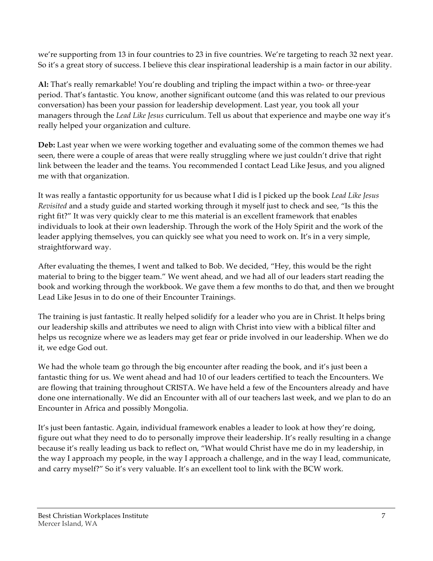we're supporting from 13 in four countries to 23 in five countries. We're targeting to reach 32 next year. So it's a great story of success. I believe this clear inspirational leadership is a main factor in our ability.

**Al:** That's really remarkable! You're doubling and tripling the impact within a two- or three-year period. That's fantastic. You know, another significant outcome (and this was related to our previous conversation) has been your passion for leadership development. Last year, you took all your managers through the *Lead Like Jesus* curriculum. Tell us about that experience and maybe one way it's really helped your organization and culture.

**Deb:** Last year when we were working together and evaluating some of the common themes we had seen, there were a couple of areas that were really struggling where we just couldn't drive that right link between the leader and the teams. You recommended I contact Lead Like Jesus, and you aligned me with that organization.

It was really a fantastic opportunity for us because what I did is I picked up the book *Lead Like Jesus Revisited* and a study guide and started working through it myself just to check and see, "Is this the right fit?" It was very quickly clear to me this material is an excellent framework that enables individuals to look at their own leadership. Through the work of the Holy Spirit and the work of the leader applying themselves, you can quickly see what you need to work on. It's in a very simple, straightforward way.

After evaluating the themes, I went and talked to Bob. We decided, "Hey, this would be the right material to bring to the bigger team." We went ahead, and we had all of our leaders start reading the book and working through the workbook. We gave them a few months to do that, and then we brought Lead Like Jesus in to do one of their Encounter Trainings.

The training is just fantastic. It really helped solidify for a leader who you are in Christ. It helps bring our leadership skills and attributes we need to align with Christ into view with a biblical filter and helps us recognize where we as leaders may get fear or pride involved in our leadership. When we do it, we edge God out.

We had the whole team go through the big encounter after reading the book, and it's just been a fantastic thing for us. We went ahead and had 10 of our leaders certified to teach the Encounters. We are flowing that training throughout CRISTA. We have held a few of the Encounters already and have done one internationally. We did an Encounter with all of our teachers last week, and we plan to do an Encounter in Africa and possibly Mongolia.

It's just been fantastic. Again, individual framework enables a leader to look at how they're doing, figure out what they need to do to personally improve their leadership. It's really resulting in a change because it's really leading us back to reflect on, "What would Christ have me do in my leadership, in the way I approach my people, in the way I approach a challenge, and in the way I lead, communicate, and carry myself?" So it's very valuable. It's an excellent tool to link with the BCW work.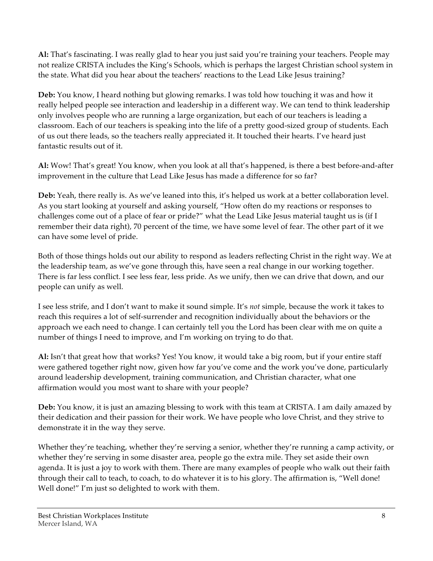**Al:** That's fascinating. I was really glad to hear you just said you're training your teachers. People may not realize CRISTA includes the King's Schools, which is perhaps the largest Christian school system in the state. What did you hear about the teachers' reactions to the Lead Like Jesus training?

**Deb:** You know, I heard nothing but glowing remarks. I was told how touching it was and how it really helped people see interaction and leadership in a different way. We can tend to think leadership only involves people who are running a large organization, but each of our teachers is leading a classroom. Each of our teachers is speaking into the life of a pretty good-sized group of students. Each of us out there leads, so the teachers really appreciated it. It touched their hearts. I've heard just fantastic results out of it.

**Al:** Wow! That's great! You know, when you look at all that's happened, is there a best before-and-after improvement in the culture that Lead Like Jesus has made a difference for so far?

**Deb:** Yeah, there really is. As we've leaned into this, it's helped us work at a better collaboration level. As you start looking at yourself and asking yourself, "How often do my reactions or responses to challenges come out of a place of fear or pride?" what the Lead Like Jesus material taught us is (if I remember their data right), 70 percent of the time, we have some level of fear. The other part of it we can have some level of pride.

Both of those things holds out our ability to respond as leaders reflecting Christ in the right way. We at the leadership team, as we've gone through this, have seen a real change in our working together. There is far less conflict. I see less fear, less pride. As we unify, then we can drive that down, and our people can unify as well.

I see less strife, and I don't want to make it sound simple. It's *not* simple, because the work it takes to reach this requires a lot of self-surrender and recognition individually about the behaviors or the approach we each need to change. I can certainly tell you the Lord has been clear with me on quite a number of things I need to improve, and I'm working on trying to do that.

**Al:** Isn't that great how that works? Yes! You know, it would take a big room, but if your entire staff were gathered together right now, given how far you've come and the work you've done, particularly around leadership development, training communication, and Christian character, what one affirmation would you most want to share with your people?

**Deb:** You know, it is just an amazing blessing to work with this team at CRISTA. I am daily amazed by their dedication and their passion for their work. We have people who love Christ, and they strive to demonstrate it in the way they serve.

Whether they're teaching, whether they're serving a senior, whether they're running a camp activity, or whether they're serving in some disaster area, people go the extra mile. They set aside their own agenda. It is just a joy to work with them. There are many examples of people who walk out their faith through their call to teach, to coach, to do whatever it is to his glory. The affirmation is, "Well done! Well done!" I'm just so delighted to work with them.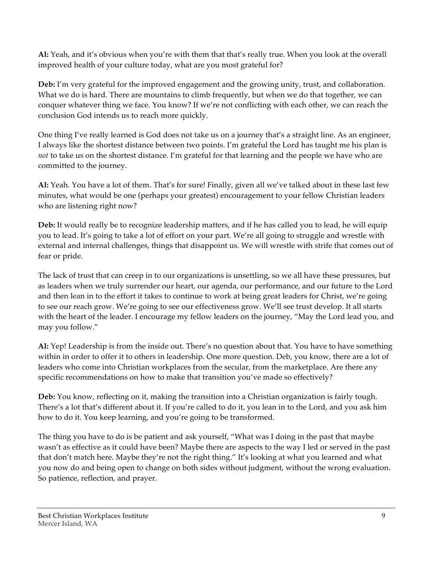**Al:** Yeah, and it's obvious when you're with them that that's really true. When you look at the overall improved health of your culture today, what are you most grateful for?

**Deb:** I'm very grateful for the improved engagement and the growing unity, trust, and collaboration. What we do is hard. There are mountains to climb frequently, but when we do that together, we can conquer whatever thing we face. You know? If we're not conflicting with each other, we can reach the conclusion God intends us to reach more quickly.

One thing I've really learned is God does not take us on a journey that's a straight line. As an engineer, I always like the shortest distance between two points. I'm grateful the Lord has taught me his plan is *not* to take us on the shortest distance. I'm grateful for that learning and the people we have who are committed to the journey.

**Al:** Yeah. You have a lot of them. That's for sure! Finally, given all we've talked about in these last few minutes, what would be one (perhaps your greatest) encouragement to your fellow Christian leaders who are listening right now?

**Deb:** It would really be to recognize leadership matters, and if he has called you to lead, he will equip you to lead. It's going to take a lot of effort on your part. We're all going to struggle and wrestle with external and internal challenges, things that disappoint us. We will wrestle with strife that comes out of fear or pride.

The lack of trust that can creep in to our organizations is unsettling, so we all have these pressures, but as leaders when we truly surrender our heart, our agenda, our performance, and our future to the Lord and then lean in to the effort it takes to continue to work at being great leaders for Christ, we're going to see our reach grow. We're going to see our effectiveness grow. We'll see trust develop. It all starts with the heart of the leader. I encourage my fellow leaders on the journey, "May the Lord lead you, and may you follow."

**Al:** Yep! Leadership is from the inside out. There's no question about that. You have to have something within in order to offer it to others in leadership. One more question. Deb, you know, there are a lot of leaders who come into Christian workplaces from the secular, from the marketplace. Are there any specific recommendations on how to make that transition you've made so effectively?

**Deb:** You know, reflecting on it, making the transition into a Christian organization is fairly tough. There's a lot that's different about it. If you're called to do it, you lean in to the Lord, and you ask him how to do it. You keep learning, and you're going to be transformed.

The thing you have to do is be patient and ask yourself, "What was I doing in the past that maybe wasn't as effective as it could have been? Maybe there are aspects to the way I led or served in the past that don't match here. Maybe they're not the right thing." It's looking at what you learned and what you now do and being open to change on both sides without judgment, without the wrong evaluation. So patience, reflection, and prayer.